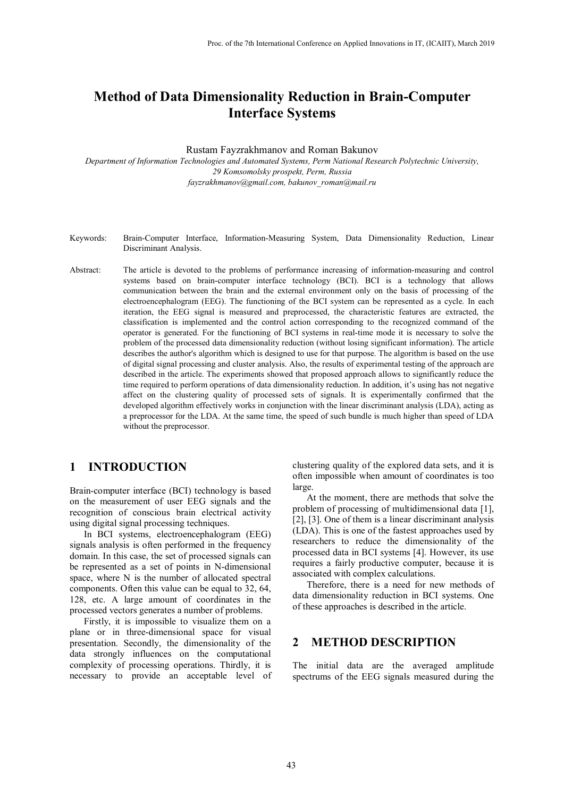# **Method of Data Dimensionality Reduction in Brain-Computer Interface Systems**

Rustam Fayzrakhmanov and Roman Bakunov

*Department of Information Technologies and Automated Systems, Perm National Research Polytechnic University, 29 Komsomolsky prospekt, Perm, Russia fayzrakhmanov@gmail.com, bakunov\_roman@mail.ru*

- Keywords: Brain-Computer Interface, Information-Measuring System, Data Dimensionality Reduction, Linear Discriminant Analysis.
- Abstract: The article is devoted to the problems of performance increasing of information-measuring and control systems based on brain-computer interface technology (BCI). BCI is a technology that allows communication between the brain and the external environment only on the basis of processing of the electroencephalogram (EEG). The functioning of the BCI system can be represented as a cycle. In each iteration, the EEG signal is measured and preprocessed, the characteristic features are extracted, the classification is implemented and the control action corresponding to the recognized command of the operator is generated. For the functioning of BCI systems in real-time mode it is necessary to solve the problem of the processed data dimensionality reduction (without losing significant information). The article describes the author's algorithm which is designed to use for that purpose. The algorithm is based on the use of digital signal processing and cluster analysis. Also, the results of experimental testing of the approach are described in the article. The experiments showed that proposed approach allows to significantly reduce the time required to perform operations of data dimensionality reduction. In addition, it's using has not negative affect on the clustering quality of processed sets of signals. It is experimentally confirmed that the developed algorithm effectively works in conjunction with the linear discriminant analysis (LDA), acting as a preprocessor for the LDA. At the same time, the speed of such bundle is much higher than speed of LDA without the preprocessor.

#### **1 INTRODUCTION**

Brain-computer interface (BCI) technology is based on the measurement of user EEG signals and the recognition of conscious brain electrical activity using digital signal processing techniques.

In BCI systems, electroencephalogram (EEG) signals analysis is often performed in the frequency domain. In this case, the set of processed signals can be represented as a set of points in N-dimensional space, where N is the number of allocated spectral components. Often this value can be equal to 32, 64, 128, etc. A large amount of coordinates in the processed vectors generates a number of problems.

Firstly, it is impossible to visualize them on a plane or in three-dimensional space for visual presentation. Secondly, the dimensionality of the data strongly influences on the computational complexity of processing operations. Thirdly, it is necessary to provide an acceptable level of clustering quality of the explored data sets, and it is often impossible when amount of coordinates is too large.

At the moment, there are methods that solve the problem of processing of multidimensional data [1], [2], [3]. One of them is a linear discriminant analysis (LDA). This is one of the fastest approaches used by researchers to reduce the dimensionality of the processed data in BCI systems [4]. However, its use requires a fairly productive computer, because it is associated with complex calculations.

Therefore, there is a need for new methods of data dimensionality reduction in BCI systems. One of these approaches is described in the article.

## **2 METHOD DESCRIPTION**

The initial data are the averaged amplitude spectrums of the EEG signals measured during the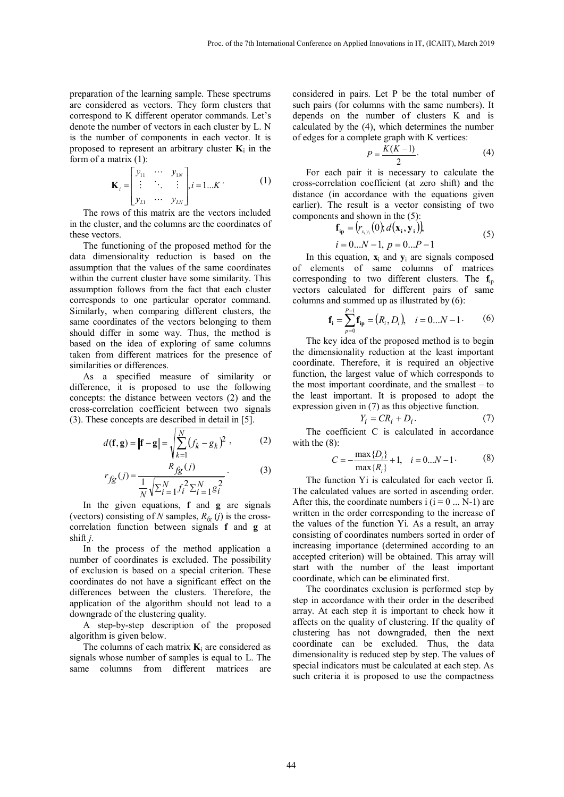preparation of the learning sample. These spectrums are considered as vectors. They form clusters that correspond to K different operator commands. Let's denote the number of vectors in each cluster by L. N is the number of components in each vector. It is proposed to represent an arbitrary cluster  $\mathbf{K}_i$  in the form of a matrix (1):

$$
\mathbf{K}_{i} = \begin{bmatrix} y_{11} & \cdots & y_{1N} \\ \vdots & \ddots & \vdots \\ y_{L1} & \cdots & y_{LN} \end{bmatrix}, i = 1...K
$$
 (1)

The rows of this matrix are the vectors included in the cluster, and the columns are the coordinates of these vectors.

The functioning of the proposed method for the data dimensionality reduction is based on the assumption that the values of the same coordinates within the current cluster have some similarity. This assumption follows from the fact that each cluster corresponds to one particular operator command. Similarly, when comparing different clusters, the same coordinates of the vectors belonging to them should differ in some way. Thus, the method is based on the idea of exploring of same columns taken from different matrices for the presence of similarities or differences.

As a specified measure of similarity or difference, it is proposed to use the following concepts: the distance between vectors (2) and the cross-correlation coefficient between two signals (3). These concepts are described in detail in [5].

$$
d(\mathbf{f}, \mathbf{g}) = ||\mathbf{f} - \mathbf{g}|| = \sqrt{\sum_{k=1}^{N} (f_k - g_k)^2},
$$
 (2)

$$
r_{fg}(j) = \frac{R_{fg}(j)}{\frac{1}{N}\sqrt{\sum_{i=1}^{N} f_i^2 \sum_{i=1}^{N} g_i^2}}.
$$
 (3)

In the given equations, **f** and **g** are signals (vectors) consisting of *N* samples,  $R_f$  (*j*) is the crosscorrelation function between signals **f** and **g** at shift *j*.

In the process of the method application a number of coordinates is excluded. The possibility of exclusion is based on a special criterion. These coordinates do not have a significant effect on the differences between the clusters. Therefore, the application of the algorithm should not lead to a downgrade of the clustering quality.

A step-by-step description of the proposed algorithm is given below.

The columns of each matrix  $K_i$  are considered as signals whose number of samples is equal to L. The same columns from different matrices are

considered in pairs. Let P be the total number of such pairs (for columns with the same numbers). It depends on the number of clusters K and is calculated by the (4), which determines the number of edges for a complete graph with K vertices:

$$
P = \frac{K(K-1)}{2}.\tag{4}
$$

For each pair it is necessary to calculate the cross-correlation coefficient (at zero shift) and the distance (in accordance with the equations given earlier). The result is a vector consisting of two components and shown in the (5):

$$
\mathbf{f}_{ip} = (r_{x_i y_i}(0), d(\mathbf{x}_i, \mathbf{y}_i))
$$
\n
$$
i = 0...N - 1, p = 0...P - 1
$$
\n(5)

In this equation,  $\mathbf{x}_i$  and  $\mathbf{v}_i$  are signals composed of elements of same columns of matrices corresponding to two different clusters. The **f**ip vectors calculated for different pairs of same columns and summed up as illustrated by (6):

$$
\mathbf{f}_{i} = \sum_{p=0}^{P-1} \mathbf{f}_{ip} = (R_{i}, D_{i}), \quad i = 0...N - 1.
$$
 (6)

The key idea of the proposed method is to begin the dimensionality reduction at the least important coordinate. Therefore, it is required an objective function, the largest value of which corresponds to the most important coordinate, and the smallest – to the least important. It is proposed to adopt the expression given in (7) as this objective function.

$$
Y_i = CR_i + D_i.
$$
 (7)

The coefficient C is calculated in accordance with the  $(8)$ :

$$
C = -\frac{\max\{D_i\}}{\max\{R_i\}} + 1, \quad i = 0...N - 1
$$
 (8)

The function Yi is calculated for each vector fi. The calculated values are sorted in ascending order. After this, the coordinate numbers  $i (i = 0 ... N-1)$  are written in the order corresponding to the increase of the values of the function Yi. As a result, an array consisting of coordinates numbers sorted in order of increasing importance (determined according to an accepted criterion) will be obtained. This array will start with the number of the least important coordinate, which can be eliminated first.

The coordinates exclusion is performed step by step in accordance with their order in the described array. At each step it is important to check how it affects on the quality of clustering. If the quality of clustering has not downgraded, then the next coordinate can be excluded. Thus, the data dimensionality is reduced step by step. The values of special indicators must be calculated at each step. As such criteria it is proposed to use the compactness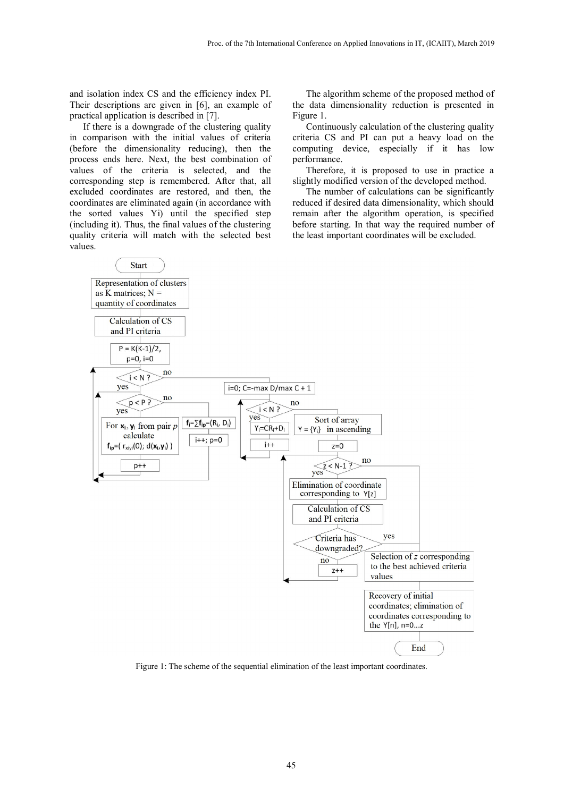and isolation index CS and the efficiency index PI. Their descriptions are given in [6], an example of practical application is described in [7].

If there is a downgrade of the clustering quality in comparison with the initial values of criteria (before the dimensionality reducing), then the process ends here. Next, the best combination of values of the criteria is selected, and the corresponding step is remembered. After that, all excluded coordinates are restored, and then, the coordinates are eliminated again (in accordance with the sorted values Yi) until the specified step (including it). Thus, the final values of the clustering quality criteria will match with the selected best values.

The algorithm scheme of the proposed method of the data dimensionality reduction is presented in Figure 1.

Continuously calculation of the clustering quality criteria CS and PI can put a heavy load on the computing device, especially if it has low performance.

Therefore, it is proposed to use in practice a slightly modified version of the developed method.

The number of calculations can be significantly reduced if desired data dimensionality, which should remain after the algorithm operation, is specified before starting. In that way the required number of the least important coordinates will be excluded.



Figure 1: The scheme of the sequential elimination of the least important coordinates.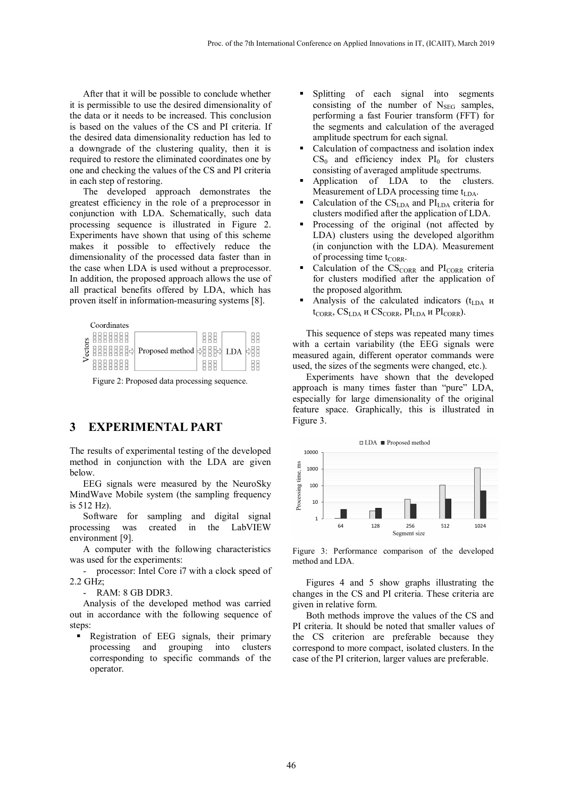After that it will be possible to conclude whether it is permissible to use the desired dimensionality of the data or it needs to be increased. This conclusion is based on the values of the CS and PI criteria. If the desired data dimensionality reduction has led to a downgrade of the clustering quality, then it is required to restore the eliminated coordinates one by one and checking the values of the CS and PI criteria in each step of restoring.

The developed approach demonstrates the greatest efficiency in the role of a preprocessor in conjunction with LDA. Schematically, such data processing sequence is illustrated in Figure 2. Experiments have shown that using of this scheme makes it possible to effectively reduce the dimensionality of the processed data faster than in the case when LDA is used without a preprocessor. In addition, the proposed approach allows the use of all practical benefits offered by LDA, which has proven itself in information-measuring systems [8].

|    | Coordinates |                 |                |      |  |
|----|-------------|-----------------|----------------|------|--|
| 78 |             | Proposed method | 브<br>- 다본<br>⋍ | I DA |  |

Figure 2: Proposed data processing sequence.

## **3 EXPERIMENTAL PART**

The results of experimental testing of the developed method in conjunction with the LDA are given below.

EEG signals were measured by the NeuroSky MindWave Mobile system (the sampling frequency is 512 Hz).

Software for sampling and digital signal processing was created in the LabVIEW environment [9].

A computer with the following characteristics was used for the experiments:

- processor: Intel Core i7 with a clock speed of 2.2 GHz;

- RAM: 8 GB DDR3.

Analysis of the developed method was carried out in accordance with the following sequence of steps:

Registration of EEG signals, their primary processing and grouping into clusters corresponding to specific commands of the operator.

- Splitting of each signal into segments consisting of the number of  $N_{\text{SEG}}$  samples, performing a fast Fourier transform (FFT) for the segments and calculation of the averaged amplitude spectrum for each signal.
- Calculation of compactness and isolation index  $CS_0$  and efficiency index  $PI_0$  for clusters consisting of averaged amplitude spectrums.
- Application of LDA to the clusters. Measurement of LDA processing time  $t_{LDA}$ .
- Calculation of the  $CS<sub>IDA</sub>$  and  $PI<sub>IDA</sub>$  criteria for clusters modified after the application of LDA.
- Processing of the original (not affected by LDA) clusters using the developed algorithm (in conjunction with the LDA). Measurement of processing time  $t_{CORR}$ .
- Calculation of the  $CS_{CORR}$  and  $PI_{CORR}$  criteria for clusters modified after the application of the proposed algorithm.
- Analysis of the calculated indicators  $(t<sub>LDA</sub>$  *u*  $t_{CORR}$ , CS<sub>LDA</sub> и CS<sub>CORR</sub>, PI<sub>LDA</sub> и PI<sub>CORR</sub>).

This sequence of steps was repeated many times with a certain variability (the EEG signals were measured again, different operator commands were used, the sizes of the segments were changed, etc.).

Experiments have shown that the developed approach is many times faster than "pure" LDA, especially for large dimensionality of the original feature space. Graphically, this is illustrated in Figure 3.



Figure 3: Performance comparison of the developed method and LDA.

Figures 4 and 5 show graphs illustrating the changes in the CS and PI criteria. These criteria are given in relative form.

Both methods improve the values of the CS and PI criteria. It should be noted that smaller values of the CS criterion are preferable because they correspond to more compact, isolated clusters. In the case of the PI criterion, larger values are preferable.